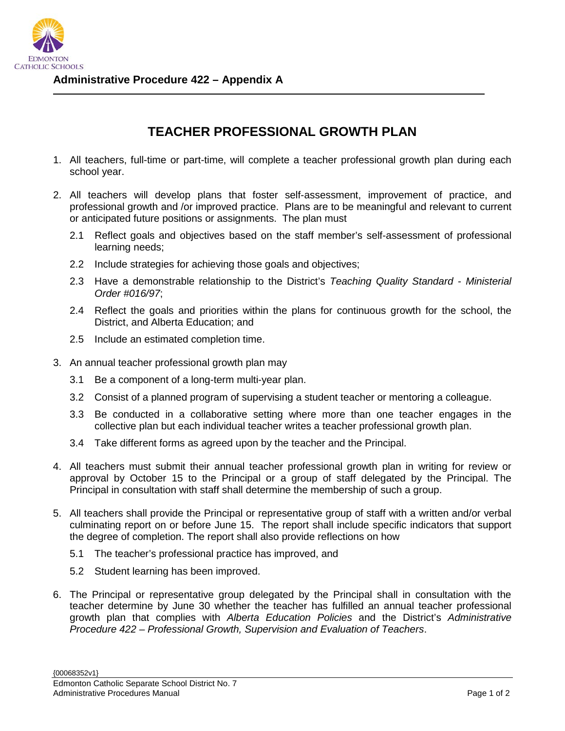

## **TEACHER PROFESSIONAL GROWTH PLAN**

- 1. All teachers, full-time or part-time, will complete a teacher professional growth plan during each school year.
- 2. All teachers will develop plans that foster self-assessment, improvement of practice, and professional growth and /or improved practice. Plans are to be meaningful and relevant to current or anticipated future positions or assignments. The plan must
	- 2.1 Reflect goals and objectives based on the staff member's self-assessment of professional learning needs;
	- 2.2 Include strategies for achieving those goals and objectives;
	- 2.3 Have a demonstrable relationship to the District's *Teaching Quality Standard Ministerial Order #016/97*;
	- 2.4 Reflect the goals and priorities within the plans for continuous growth for the school, the District, and Alberta Education; and
	- 2.5 Include an estimated completion time.
- 3. An annual teacher professional growth plan may
	- 3.1 Be a component of a long-term multi-year plan.
	- 3.2 Consist of a planned program of supervising a student teacher or mentoring a colleague.
	- 3.3 Be conducted in a collaborative setting where more than one teacher engages in the collective plan but each individual teacher writes a teacher professional growth plan.
	- 3.4 Take different forms as agreed upon by the teacher and the Principal.
- 4. All teachers must submit their annual teacher professional growth plan in writing for review or approval by October 15 to the Principal or a group of staff delegated by the Principal. The Principal in consultation with staff shall determine the membership of such a group.
- 5. All teachers shall provide the Principal or representative group of staff with a written and/or verbal culminating report on or before June 15. The report shall include specific indicators that support the degree of completion. The report shall also provide reflections on how
	- 5.1 The teacher's professional practice has improved, and
	- 5.2 Student learning has been improved.
- 6. The Principal or representative group delegated by the Principal shall in consultation with the teacher determine by June 30 whether the teacher has fulfilled an annual teacher professional growth plan that complies with *Alberta Education Policies* and the District's *Administrative Procedure 422 – Professional Growth, Supervision and Evaluation of Teachers*.

{00068352v1}